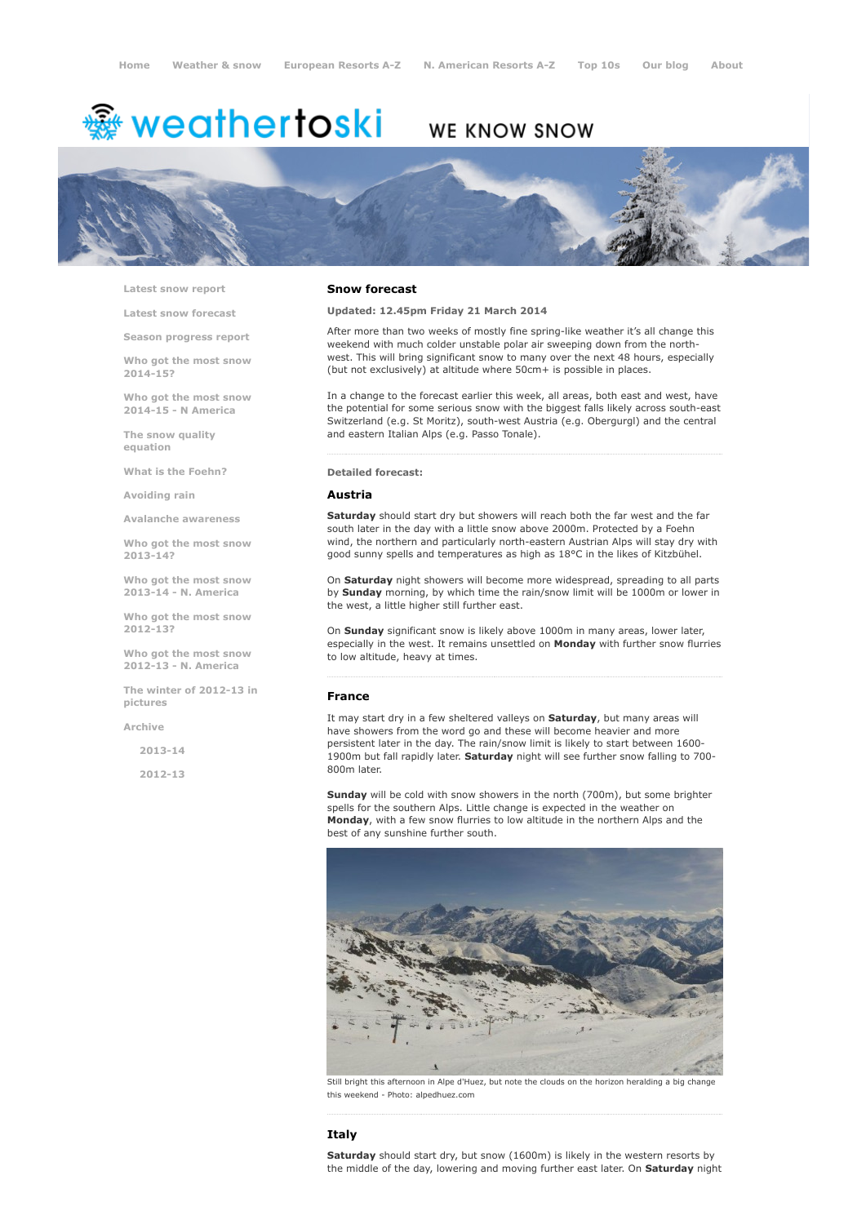# <del>鑾</del> weathertoski

# WE KNOW SNOW



Latest snow [report](http://www.weathertoski.co.uk/weather-snow/latest-snow-report/)

Latest snow [forecast](http://www.weathertoski.co.uk/weather-snow/latest-snow-forecast/)

Season [progress](http://www.weathertoski.co.uk/weather-snow/season-progress-report/) report

Who got the most snow 2014-15?

Who got the most snow 2014-15 - N America

The snow quality [equation](http://www.weathertoski.co.uk/weather-snow/the-snow-quality-equation/)

What is the [Foehn?](http://www.weathertoski.co.uk/weather-snow/what-is-the-foehn/)

[Avoiding](http://www.weathertoski.co.uk/weather-snow/avoiding-rain/) rain

Avalanche [awareness](http://www.weathertoski.co.uk/weather-snow/avalanche-awareness/)

Who got the most snow 2013-14?

Who got the most snow 2013-14 - N. America

Who got the most snow 2012-13?

Who got the most snow 2012-13 - N. America

The winter of 2012-13 in pictures

[Archive](http://www.weathertoski.co.uk/weather-snow/archive/)

2013-14

2012-13

#### Snow forecast

Updated: 12.45pm Friday 21 March 2014

After more than two weeks of mostly fine spring-like weather it's all change this weekend with much colder unstable polar air sweeping down from the northwest. This will bring significant snow to many over the next 48 hours, especially (but not exclusively) at altitude where 50cm+ is possible in places.

In a change to the forecast earlier this week, all areas, both east and west, have the potential for some serious snow with the biggest falls likely across south-east Switzerland (e.g. St Moritz), south-west Austria (e.g. Obergurgl) and the central and eastern Italian Alps (e.g. Passo Tonale).

#### Detailed forecast:

#### Austria

**Saturday** should start dry but showers will reach both the far west and the far south later in the day with a little snow above 2000m. Protected by a Foehn wind, the northern and particularly north-eastern Austrian Alps will stay dry with good sunny spells and temperatures as high as 18°C in the likes of Kitzbühel.

On Saturday night showers will become more widespread, spreading to all parts by Sunday morning, by which time the rain/snow limit will be 1000m or lower in the west, a little higher still further east.

On Sunday significant snow is likely above 1000m in many areas, lower later, especially in the west. It remains unsettled on Monday with further snow flurries to low altitude, heavy at times.

#### France

It may start dry in a few sheltered valleys on Saturday, but many areas will have showers from the word go and these will become heavier and more persistent later in the day. The rain/snow limit is likely to start between 1600 1900m but fall rapidly later. Saturday night will see further snow falling to 700-800m later.

Sunday will be cold with snow showers in the north (700m), but some brighter spells for the southern Alps. Little change is expected in the weather on Monday, with a few snow flurries to low altitude in the northern Alps and the best of any sunshine further south.



Still bright this afternoon in Alpe d'Huez, but note the clouds on the horizon heralding a big change this weekend - Photo: alpedhuez.com

### Italy

Saturday should start dry, but snow (1600m) is likely in the western resorts by the middle of the day, lowering and moving further east later. On Saturday night